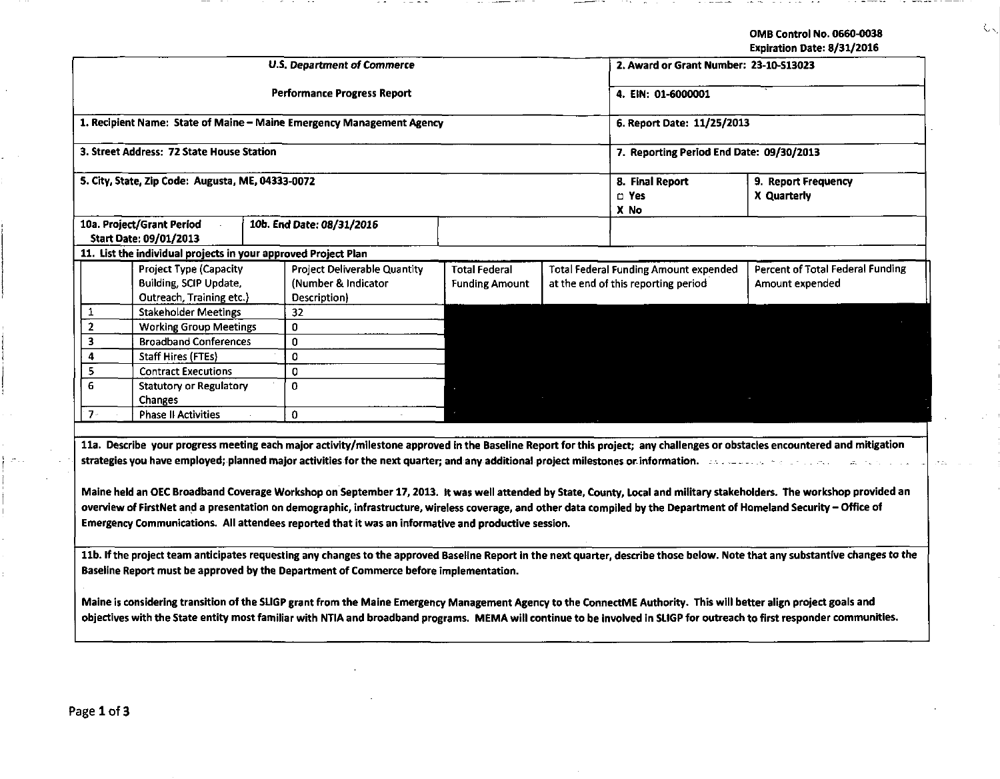OMB Control No. 0660.0038

 $\zeta_{\infty}$ 

| Expiration Date: 8/31/2016 |  |  |
|----------------------------|--|--|

|                                                                                                                                                                                                                                                                                                                                                                                                                                                                                                                                                                                                                                                                                                                                                                                                                                                                       |                                                                            |                                               |                                                                                     | Expiration Date: 8/31/2016                                 |  |  |
|-----------------------------------------------------------------------------------------------------------------------------------------------------------------------------------------------------------------------------------------------------------------------------------------------------------------------------------------------------------------------------------------------------------------------------------------------------------------------------------------------------------------------------------------------------------------------------------------------------------------------------------------------------------------------------------------------------------------------------------------------------------------------------------------------------------------------------------------------------------------------|----------------------------------------------------------------------------|-----------------------------------------------|-------------------------------------------------------------------------------------|------------------------------------------------------------|--|--|
|                                                                                                                                                                                                                                                                                                                                                                                                                                                                                                                                                                                                                                                                                                                                                                                                                                                                       | <b>U.S. Department of Commerce</b>                                         |                                               | 2. Award or Grant Number: 23-10-513023                                              |                                                            |  |  |
|                                                                                                                                                                                                                                                                                                                                                                                                                                                                                                                                                                                                                                                                                                                                                                                                                                                                       | Performance Progress Report                                                | 4. EIN: 01-6000001                            |                                                                                     |                                                            |  |  |
| 1. Recipient Name: State of Maine - Maine Emergency Management Agency                                                                                                                                                                                                                                                                                                                                                                                                                                                                                                                                                                                                                                                                                                                                                                                                 |                                                                            |                                               | 6. Report Date: 11/25/2013                                                          |                                                            |  |  |
| 3. Street Address: 72 State House Station                                                                                                                                                                                                                                                                                                                                                                                                                                                                                                                                                                                                                                                                                                                                                                                                                             |                                                                            |                                               | 7. Reporting Period End Date: 09/30/2013                                            |                                                            |  |  |
| 5. City, State, Zip Code: Augusta, ME, 04333-0072                                                                                                                                                                                                                                                                                                                                                                                                                                                                                                                                                                                                                                                                                                                                                                                                                     |                                                                            | 8. Final Report<br>$\square$ Yes<br>X No      | 9. Report Frequency<br>X Quarterly                                                  |                                                            |  |  |
| 10a. Project/Grant Period<br><b>Start Date: 09/01/2013</b>                                                                                                                                                                                                                                                                                                                                                                                                                                                                                                                                                                                                                                                                                                                                                                                                            | 10b. End Date: 08/31/2016                                                  |                                               |                                                                                     |                                                            |  |  |
| 11. List the individual projects in your approved Project Plan                                                                                                                                                                                                                                                                                                                                                                                                                                                                                                                                                                                                                                                                                                                                                                                                        |                                                                            |                                               |                                                                                     |                                                            |  |  |
| <b>Project Type (Capacity</b><br>Building, SCIP Update,<br>Outreach, Training etc.)                                                                                                                                                                                                                                                                                                                                                                                                                                                                                                                                                                                                                                                                                                                                                                                   | <b>Project Deliverable Quantity</b><br>(Number & Indicator<br>Description) | <b>Total Federal</b><br><b>Funding Amount</b> | <b>Total Federal Funding Amount expended</b><br>at the end of this reporting period | <b>Percent of Total Federal Funding</b><br>Amount expended |  |  |
| 1<br><b>Stakeholder Meetings</b>                                                                                                                                                                                                                                                                                                                                                                                                                                                                                                                                                                                                                                                                                                                                                                                                                                      | 32                                                                         |                                               |                                                                                     |                                                            |  |  |
| $\overline{2}$<br><b>Working Group Meetings</b>                                                                                                                                                                                                                                                                                                                                                                                                                                                                                                                                                                                                                                                                                                                                                                                                                       | $\mathbf{0}$                                                               |                                               |                                                                                     |                                                            |  |  |
| 3<br><b>Broadband Conferences</b>                                                                                                                                                                                                                                                                                                                                                                                                                                                                                                                                                                                                                                                                                                                                                                                                                                     | $\mathbf{0}$                                                               |                                               |                                                                                     |                                                            |  |  |
| 4<br>Staff Hires (FTEs)                                                                                                                                                                                                                                                                                                                                                                                                                                                                                                                                                                                                                                                                                                                                                                                                                                               | $\Omega$                                                                   |                                               |                                                                                     |                                                            |  |  |
| 5<br><b>Contract Executions</b>                                                                                                                                                                                                                                                                                                                                                                                                                                                                                                                                                                                                                                                                                                                                                                                                                                       | $\mathbf 0$                                                                |                                               |                                                                                     |                                                            |  |  |
| 6<br><b>Statutory or Regulatory</b><br><b>Changes</b>                                                                                                                                                                                                                                                                                                                                                                                                                                                                                                                                                                                                                                                                                                                                                                                                                 | $\Omega$                                                                   |                                               |                                                                                     |                                                            |  |  |
| $7 -$<br><b>Phase II Activities</b>                                                                                                                                                                                                                                                                                                                                                                                                                                                                                                                                                                                                                                                                                                                                                                                                                                   | 0                                                                          |                                               |                                                                                     |                                                            |  |  |
| 11a. Describe your progress meeting each major activity/milestone approved in the Baseline Report for this project; any challenges or obstacles encountered and mitigation<br>strategies you have employed; planned major activities for the next quarter; and any additional project milestones or information. The strategies you have employed; have been added to a strategie of the strategies of the s<br>Maine held an OEC Broadband Coverage Workshop on September 17, 2013. It was well attended by State, County, Local and military stakeholders. The workshop provided an<br>overview of FirstNet and a presentation on demographic, infrastructure, wireless coverage, and other data compiled by the Department of Homeland Security - Office of<br>Emergency Communications. All attendees reported that it was an informative and productive session. |                                                                            |                                               |                                                                                     |                                                            |  |  |
| 11b. If the project team anticipates requesting any changes to the approved Baseline Report in the next quarter, describe those below. Note that any substantive changes to the<br>Baseline Report must be approved by the Department of Commerce before implementation.<br>Maine is considering transition of the SLIGP grant from the Maine Emergency Management Agency to the ConnectME Authority. This will better align project goals and<br>objectives with the State entity most familiar with NTIA and broadband programs. MEMA will continue to be involved in SLIGP for outreach to first responder communities.                                                                                                                                                                                                                                            |                                                                            |                                               |                                                                                     |                                                            |  |  |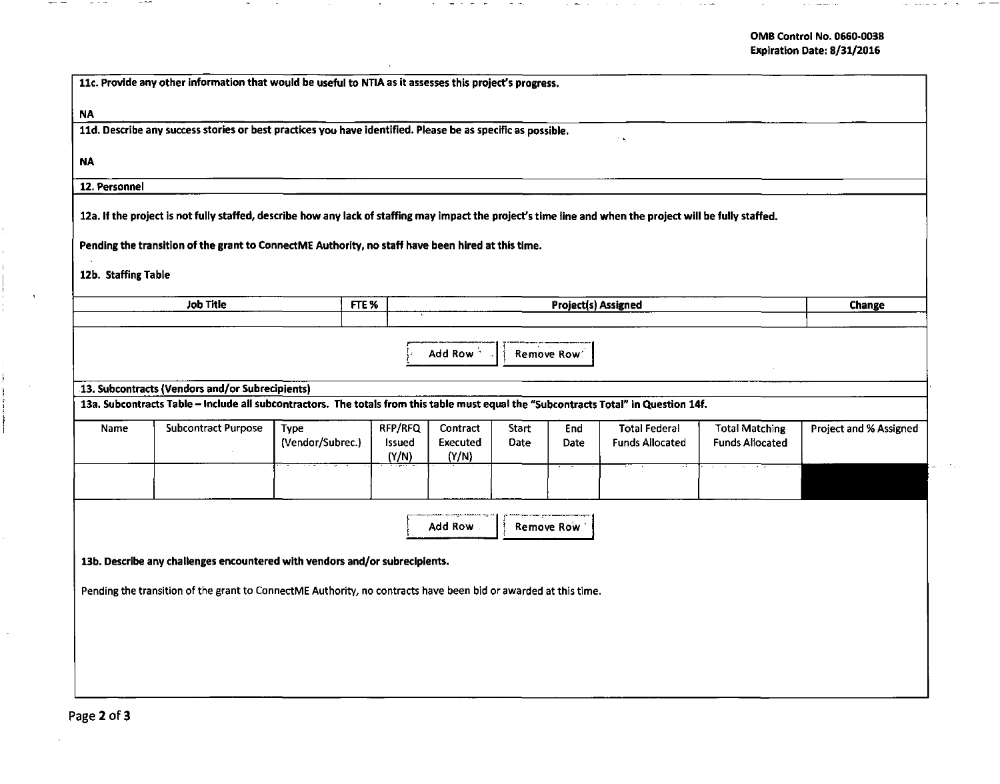$\alpha$  , and  $\alpha$  , and  $\alpha$  , and  $\alpha$ 

 $\sim$ 

۰.

 $\sim$   $\sim$   $\sim$ 

 $\sim$ 

| 11c. Provide any other information that would be useful to NTIA as it assesses this project's progress.                                                                                        |                                                                                                                                                                                                                        |                                 |  |                            |                                          |                      |                            |                                                |                                                 |                               |
|------------------------------------------------------------------------------------------------------------------------------------------------------------------------------------------------|------------------------------------------------------------------------------------------------------------------------------------------------------------------------------------------------------------------------|---------------------------------|--|----------------------------|------------------------------------------|----------------------|----------------------------|------------------------------------------------|-------------------------------------------------|-------------------------------|
| <b>NA</b><br>11d. Describe any success stories or best practices you have identified. Please be as specific as possible.                                                                       |                                                                                                                                                                                                                        |                                 |  |                            |                                          |                      |                            |                                                |                                                 |                               |
| NA                                                                                                                                                                                             |                                                                                                                                                                                                                        |                                 |  |                            |                                          |                      |                            | $\sim \infty$                                  |                                                 |                               |
| 12. Personnel                                                                                                                                                                                  |                                                                                                                                                                                                                        |                                 |  |                            |                                          |                      |                            |                                                |                                                 |                               |
| 12a. If the project is not fully staffed, describe how any lack of staffing may impact the project's time line and when the project will be fully staffed.                                     |                                                                                                                                                                                                                        |                                 |  |                            |                                          |                      |                            |                                                |                                                 |                               |
| Pending the transition of the grant to ConnectME Authority, no staff have been hired at this time.                                                                                             |                                                                                                                                                                                                                        |                                 |  |                            |                                          |                      |                            |                                                |                                                 |                               |
| 12b. Staffing Table                                                                                                                                                                            |                                                                                                                                                                                                                        |                                 |  |                            |                                          |                      |                            |                                                |                                                 |                               |
|                                                                                                                                                                                                | Job Title<br>FTE <sup>%</sup>                                                                                                                                                                                          |                                 |  | Project(s) Assigned        |                                          |                      |                            |                                                | <b>Change</b>                                   |                               |
| Name                                                                                                                                                                                           | 13. Subcontracts (Vendors and/or Subrecipients)<br>13a. Subcontracts Table - Include all subcontractors. The totals from this table must equal the "Subcontracts Total" in Question 14f.<br><b>Subcontract Purpose</b> | <b>Type</b><br>(Vendor/Subrec.) |  | RFP/RFQ<br>Issued<br>(Y/N) | Add Row<br>Contract<br>Executed<br>(Y/N) | <b>Start</b><br>Date | Remove Row:<br>End<br>Date | <b>Total Federal</b><br><b>Funds Allocated</b> | <b>Total Matching</b><br><b>Funds Allocated</b> | <b>Project and % Assigned</b> |
| Add Row<br>Remove Row.                                                                                                                                                                         |                                                                                                                                                                                                                        |                                 |  |                            |                                          |                      |                            |                                                |                                                 |                               |
| 13b. Describe any challenges encountered with vendors and/or subrecipients.<br>Pending the transition of the grant to ConnectME Authority, no contracts have been bid or awarded at this time. |                                                                                                                                                                                                                        |                                 |  |                            |                                          |                      |                            |                                                |                                                 |                               |
|                                                                                                                                                                                                |                                                                                                                                                                                                                        |                                 |  |                            |                                          |                      |                            |                                                |                                                 |                               |

 $\overline{\phantom{a}}$ 

 $- - -$ 

**Contract Contract** 

 $-$